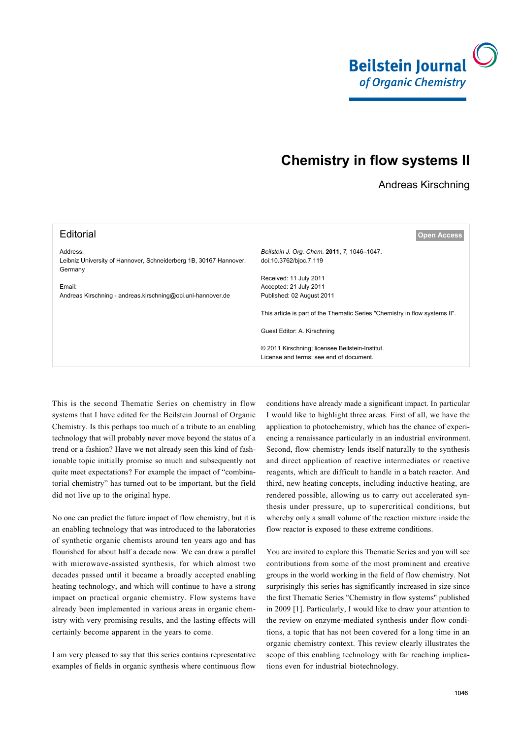

## **Chemistry in flow systems II**

## Andreas Kirschning

| Editorial                                                                                | <b>Open Access</b>                                                                         |
|------------------------------------------------------------------------------------------|--------------------------------------------------------------------------------------------|
| Address:<br>Leibniz University of Hannover, Schneiderberg 1B, 30167 Hannover,<br>Germany | Beilstein J. Org. Chem. 2011, 7, 1046-1047.<br>doi:10.3762/bjoc.7.119                      |
|                                                                                          | Received: 11 July 2011                                                                     |
| Email:                                                                                   | Accepted: 21 July 2011                                                                     |
| Andreas Kirschning - andreas.kirschning@oci.uni-hannover.de                              | Published: 02 August 2011                                                                  |
|                                                                                          | This article is part of the Thematic Series "Chemistry in flow systems II".                |
|                                                                                          | Guest Editor: A. Kirschning                                                                |
|                                                                                          | © 2011 Kirschning; licensee Beilstein-Institut.<br>License and terms: see end of document. |

This is the second Thematic Series on chemistry in flow systems that I have edited for the Beilstein Journal of Organic Chemistry. Is this perhaps too much of a tribute to an enabling technology that will probably never move beyond the status of a trend or a fashion? Have we not already seen this kind of fashionable topic initially promise so much and subsequently not quite meet expectations? For example the impact of "combinatorial chemistry" has turned out to be important, but the field did not live up to the original hype.

No one can predict the future impact of flow chemistry, but it is an enabling technology that was introduced to the laboratories of synthetic organic chemists around ten years ago and has flourished for about half a decade now. We can draw a parallel with microwave-assisted synthesis, for which almost two decades passed until it became a broadly accepted enabling heating technology, and which will continue to have a strong impact on practical organic chemistry. Flow systems have already been implemented in various areas in organic chemistry with very promising results, and the lasting effects will certainly become apparent in the years to come.

I am very pleased to say that this series contains representative examples of fields in organic synthesis where continuous flow

conditions have already made a significant impact. In particular I would like to highlight three areas. First of all, we have the application to photochemistry, which has the chance of experiencing a renaissance particularly in an industrial environment. Second, flow chemistry lends itself naturally to the synthesis and direct application of reactive intermediates or reactive reagents, which are difficult to handle in a batch reactor. And third, new heating concepts, including inductive heating, are rendered possible, allowing us to carry out accelerated synthesis under pressure, up to supercritical conditions, but whereby only a small volume of the reaction mixture inside the flow reactor is exposed to these extreme conditions.

You are invited to explore this Thematic Series and you will see contributions from some of the most prominent and creative groups in the world working in the field of flow chemistry. Not surprisingly this series has significantly increased in size since the first Thematic Series "Chemistry in flow systems" published in 2009 [\[1\].](#page-1-0) Particularly, I would like to draw your attention to the review on enzyme-mediated synthesis under flow conditions, a topic that has not been covered for a long time in an organic chemistry context. This review clearly illustrates the scope of this enabling technology with far reaching implications even for industrial biotechnology.